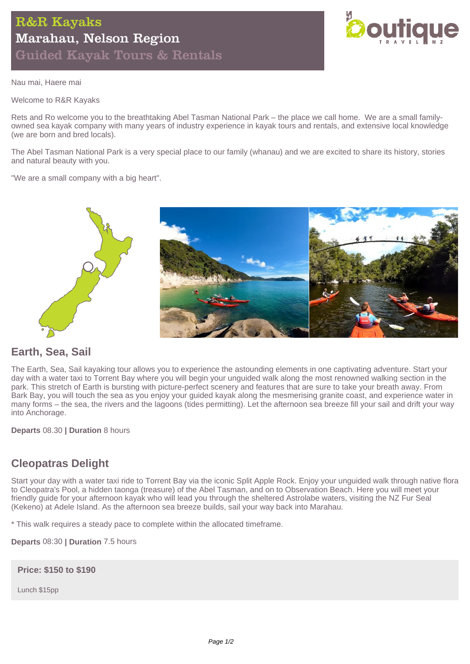

Nau mai, Haere mai

Welcome to R&R Kayaks

Rets and Ro welcome you to the breathtaking Abel Tasman National Park – the place we call home. We are a small familyowned sea kayak company with many years of industry experience in kayak tours and rentals, and extensive local knowledge (we are born and bred locals).

The Abel Tasman National Park is a very special place to our family (whanau) and we are excited to share its history, stories and natural beauty with you.

"We are a small company with a big heart".



### **Earth, Sea, Sail**

The Earth, Sea, Sail kayaking tour allows you to experience the astounding elements in one captivating adventure. Start your day with a water taxi to Torrent Bay where you will begin your unguided walk along the most renowned walking section in the park. This stretch of Earth is bursting with picture-perfect scenery and features that are sure to take your breath away. From Bark Bay, you will touch the sea as you enjoy your guided kayak along the mesmerising granite coast, and experience water in many forms – the sea, the rivers and the lagoons (tides permitting). Let the afternoon sea breeze fill your sail and drift your way into Anchorage.

**Departs** 08.30 **| Duration** 8 hours

# **Cleopatras Delight**

Start your day with a water taxi ride to Torrent Bay via the iconic Split Apple Rock. Enjoy your unguided walk through native flora to Cleopatra's Pool, a hidden taonga (treasure) of the Abel Tasman, and on to Observation Beach. Here you will meet your friendly guide for your afternoon kayak who will lead you through the sheltered Astrolabe waters, visiting the NZ Fur Seal (Kekeno) at Adele Island. As the afternoon sea breeze builds, sail your way back into Marahau.

\* This walk requires a steady pace to complete within the allocated timeframe.

**Departs** 08:30 **| Duration** 7.5 hours

**Price: \$150 to \$190**

Lunch \$15pp